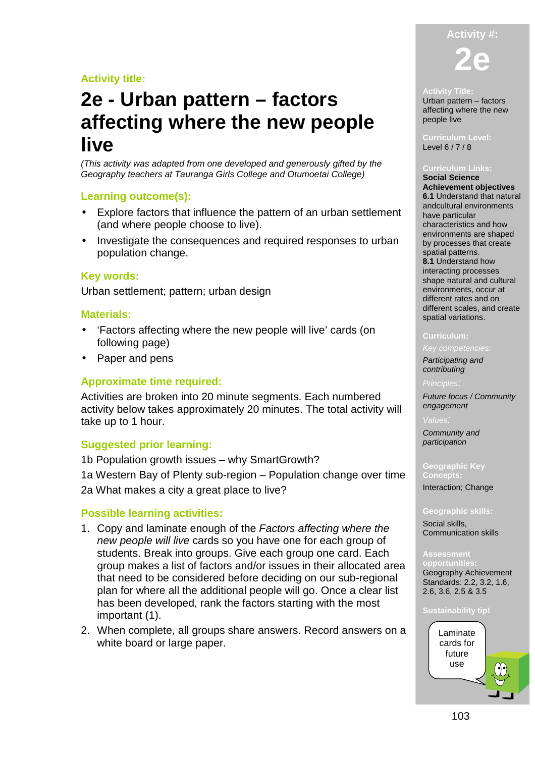# **Activity title:**

# **2e - Urban pattern – factors affecting where the new people live**

(This activity was adapted from one developed and generously gifted by the Geography teachers at Tauranga Girls College and Otumoetai College)

#### **Learning outcome(s):**

- Explore factors that influence the pattern of an urban settlement (and where people choose to live).
- Investigate the consequences and required responses to urban population change.

### **Key words:**

Urban settlement; pattern; urban design

#### **Materials:**

- 'Factors affecting where the new people will live' cards (on following page)
- Paper and pens

#### **Approximate time required:**

Activities are broken into 20 minute segments. Each numbered activity below takes approximately 20 minutes. The total activity will take up to 1 hour.

#### **Suggested prior learning:**

1b Population growth issues – why SmartGrowth? 1a Western Bay of Plenty sub-region – Population change over time 2a What makes a city a great place to live?

#### **Possible learning activities:**

- 1. Copy and laminate enough of the Factors affecting where the new people will live cards so you have one for each group of students. Break into groups. Give each group one card. Each group makes a list of factors and/or issues in their allocated area that need to be considered before deciding on our sub-regional plan for where all the additional people will go. Once a clear list has been developed, rank the factors starting with the most important (1).
- 2. When complete, all groups share answers. Record answers on a white board or large paper.



#### **Activity Title:**

Urban pattern – factors affecting where the new people live

**Curriculum Level:**  Level 6 / 7 / 8

#### **Curriculum Links:**

**Social Science Achievement objectives 6.1** Understand that natural andcultural environments have particular characteristics and how environments are shaped by processes that create spatial patterns. **8.1** Understand how interacting processes shape natural and cultural environments, occur at different rates and on different scales, and create spatial variations.

#### **Curriculum:**

Participating and

contributing

Future focus / Community engagement

Community and participation

**Geographic Key Concepts:** 

Interaction; Change

**Geographic skills:** 

Social skills, Communication skills

**Assessment oportuniti** Geography Achievement Standards: 2.2, 3.2, 1.6, 2.6, 3.6, 2.5 & 3.5

#### **Sustainability tip!**